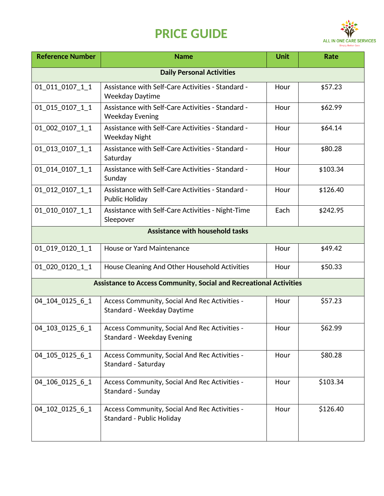## **PRICE GUIDE**



| <b>Reference Number</b>                                                   | <b>Name</b>                                                                 | <b>Unit</b> | Rate     |  |
|---------------------------------------------------------------------------|-----------------------------------------------------------------------------|-------------|----------|--|
| <b>Daily Personal Activities</b>                                          |                                                                             |             |          |  |
| 01_011_0107_1_1                                                           | Assistance with Self-Care Activities - Standard -<br><b>Weekday Daytime</b> | Hour        | \$57.23  |  |
| 01_015_0107_1_1                                                           | Assistance with Self-Care Activities - Standard -<br><b>Weekday Evening</b> | Hour        | \$62.99  |  |
| 01_002_0107_1_1                                                           | Assistance with Self-Care Activities - Standard -<br><b>Weekday Night</b>   | Hour        | \$64.14  |  |
| 01_013_0107_1_1                                                           | Assistance with Self-Care Activities - Standard -<br>Saturday               | Hour        | \$80.28  |  |
| 01_014_0107_1_1                                                           | Assistance with Self-Care Activities - Standard -<br>Sunday                 | Hour        | \$103.34 |  |
| 01_012_0107_1_1                                                           | Assistance with Self-Care Activities - Standard -<br>Public Holiday         | Hour        | \$126.40 |  |
| 01 010 0107 1 1                                                           | Assistance with Self-Care Activities - Night-Time<br>Sleepover              | Each        | \$242.95 |  |
| <b>Assistance with household tasks</b>                                    |                                                                             |             |          |  |
| 01_019_0120_1_1                                                           | House or Yard Maintenance                                                   | Hour        | \$49.42  |  |
| 01_020_0120_1_1                                                           | House Cleaning And Other Household Activities                               | Hour        | \$50.33  |  |
| <b>Assistance to Access Community, Social and Recreational Activities</b> |                                                                             |             |          |  |
| 04 104 0125 6 1                                                           | Access Community, Social And Rec Activities -<br>Standard - Weekday Daytime | Hour        | \$57.23  |  |
| 04 103 0125 6 1                                                           | Access Community, Social And Rec Activities -<br>Standard - Weekday Evening | Hour        | \$62.99  |  |
| 04_105_0125_6_1                                                           | Access Community, Social And Rec Activities -<br>Standard - Saturday        | Hour        | \$80.28  |  |
| 04_106_0125_6_1                                                           | Access Community, Social And Rec Activities -<br>Standard - Sunday          | Hour        | \$103.34 |  |
| 04 102 0125 6 1                                                           | Access Community, Social And Rec Activities -<br>Standard - Public Holiday  | Hour        | \$126.40 |  |